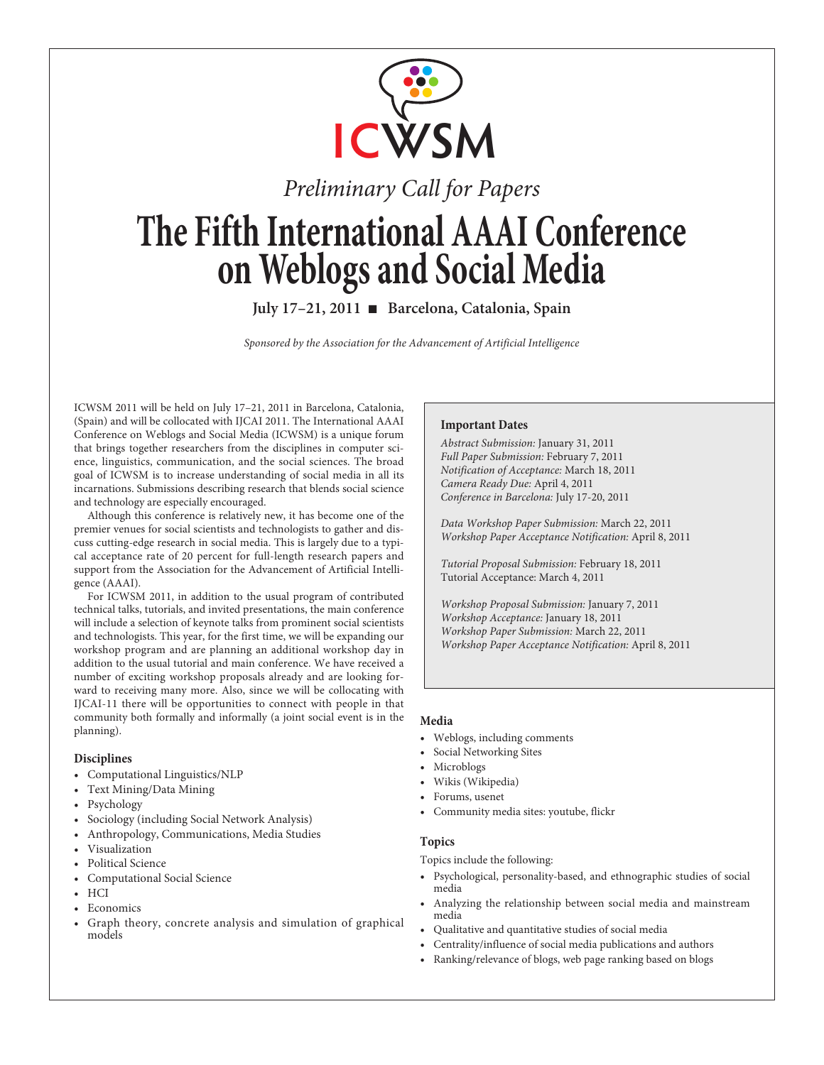

# *Preliminary Call for Papers* **The Fifth International AAAI Conference on Weblogs and Social Media**

**July 17–21, 2011** n **Barcelona, Catalonia, Spain**

*Sponsored by the Association for the Advancement of Artificial Intelligence*

ICWSM 2011 will be held on July 17–21, 2011 in Barcelona, Catalonia, (Spain) and will be collocated with IJCAI 2011. The International AAAI Conference on Weblogs and Social Media (ICWSM) is a unique forum that brings together researchers from the disciplines in computer science, linguistics, communication, and the social sciences. The broad goal of ICWSM is to increase understanding of social media in all its incarnations. Submissions describing research that blends social science and technology are especially encouraged.

Although this conference is relatively new, it has become one of the premier venues for social scientists and technologists to gather and discuss cutting-edge research in social media. This is largely due to a typical acceptance rate of 20 percent for full-length research papers and support from the Association for the Advancement of Artificial Intelligence (AAAI).

For ICWSM 2011, in addition to the usual program of contributed technical talks, tutorials, and invited presentations, the main conference will include a selection of keynote talks from prominent social scientists and technologists. This year, for the first time, we will be expanding our workshop program and are planning an additional workshop day in addition to the usual tutorial and main conference. We have received a number of exciting workshop proposals already and are looking forward to receiving many more. Also, since we will be collocating with IJCAI-11 there will be opportunities to connect with people in that community both formally and informally (a joint social event is in the planning).

## **Disciplines**

- Computational Linguistics/NLP
- Text Mining/Data Mining
- Psychology
- Sociology (including Social Network Analysis)
- Anthropology, Communications, Media Studies
- Visualization
- Political Science
- Computational Social Science
- HCI
- Economics
- Graph theory, concrete analysis and simulation of graphical models

## **Important Dates**

*Abstract Submission:* January 31, 2011 *Full Paper Submission:* February 7, 2011 *Notification of Acceptance:* March 18, 2011 *Camera Ready Due:* April 4, 2011 *Conference in Barcelona:* July 17-20, 2011

*Data Workshop Paper Submission:* March 22, 2011 *Workshop Paper Acceptance Notification:* April 8, 2011

*Tutorial Proposal Submission:* February 18, 2011 Tutorial Acceptance: March 4, 2011

*Workshop Proposal Submission:* January 7, 2011 *Workshop Acceptance:* January 18, 2011 *Workshop Paper Submission:* March 22, 2011 *Workshop Paper Acceptance Notification:* April 8, 2011

## **Media**

- Weblogs, including comments
- Social Networking Sites
- Microblogs
- Wikis (Wikipedia)
- Forums, usenet
- Community media sites: youtube, flickr

## **Topics**

Topics include the following:

- Psychological, personality-based, and ethnographic studies of social media
- Analyzing the relationship between social media and mainstream media
- Qualitative and quantitative studies of social media
- Centrality/influence of social media publications and authors
- Ranking/relevance of blogs, web page ranking based on blogs